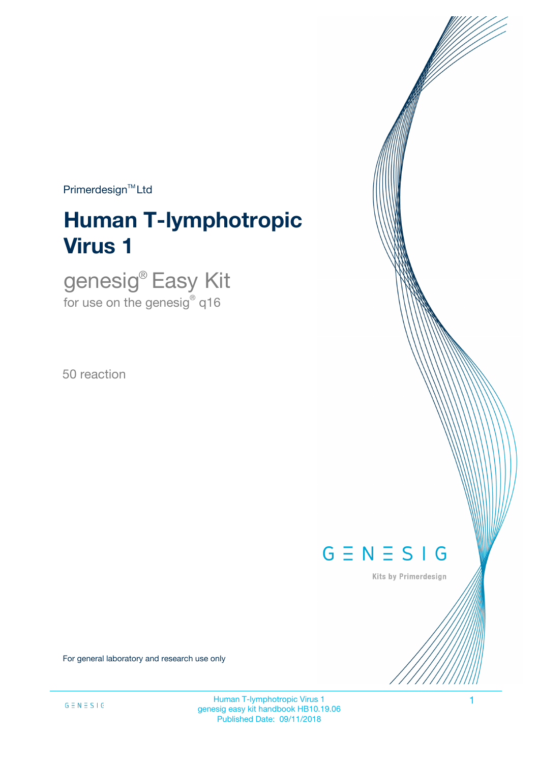$Primerdesign^{TM}$ Ltd

# **Human T-lymphotropic Virus 1**

genesig® Easy Kit for use on the genesig $^\circ$  q16

50 reaction



Kits by Primerdesign

For general laboratory and research use only

Human T-lymphotropic Virus 1 1 genesig easy kit handbook HB10.19.06 Published Date: 09/11/2018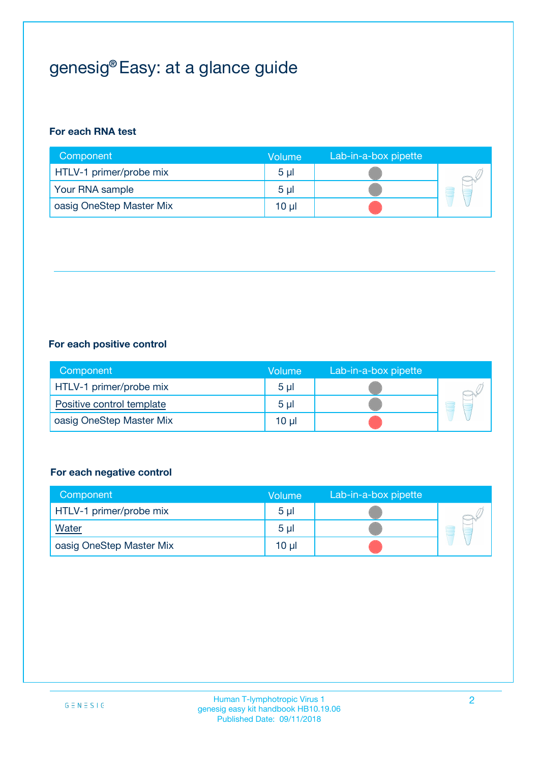## genesig® Easy: at a glance guide

#### **For each RNA test**

| Component                | <b>Volume</b>  | Lab-in-a-box pipette |  |
|--------------------------|----------------|----------------------|--|
| HTLV-1 primer/probe mix  | 5 <sub>µ</sub> |                      |  |
| Your RNA sample          | 5 <sub>µ</sub> |                      |  |
| oasig OneStep Master Mix | 10 µl          |                      |  |

#### **For each positive control**

| Component                 | Volume         | Lab-in-a-box pipette |  |
|---------------------------|----------------|----------------------|--|
| HTLV-1 primer/probe mix   | 5 <sub>µ</sub> |                      |  |
| Positive control template | 5 <sub>µ</sub> |                      |  |
| oasig OneStep Master Mix  | 10 µl          |                      |  |

#### **For each negative control**

| Component                | Volume         | Lab-in-a-box pipette |    |
|--------------------------|----------------|----------------------|----|
| HTLV-1 primer/probe mix  | 5 <sub>µ</sub> |                      |    |
| <b>Water</b>             | 5 <sub>µ</sub> |                      | ÷. |
| oasig OneStep Master Mix | 10 µl          |                      |    |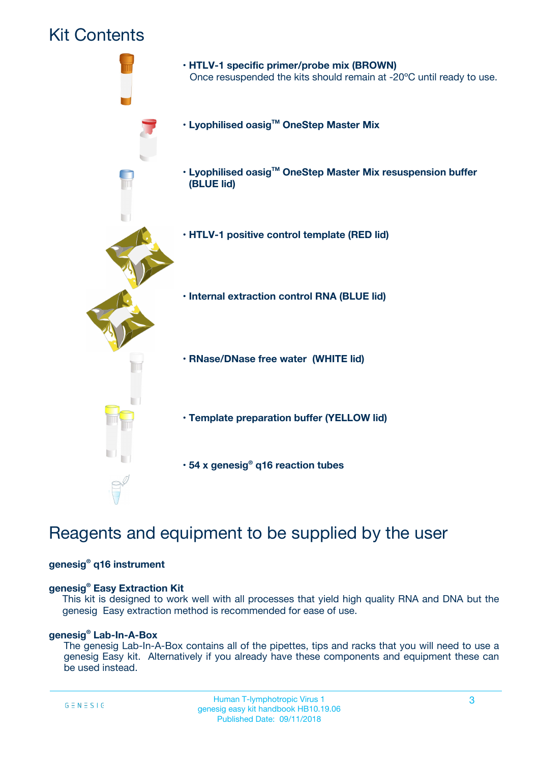### Kit Contents



## Reagents and equipment to be supplied by the user

#### **genesig® q16 instrument**

#### **genesig® Easy Extraction Kit**

This kit is designed to work well with all processes that yield high quality RNA and DNA but the genesig Easy extraction method is recommended for ease of use.

#### **genesig® Lab-In-A-Box**

The genesig Lab-In-A-Box contains all of the pipettes, tips and racks that you will need to use a genesig Easy kit. Alternatively if you already have these components and equipment these can be used instead.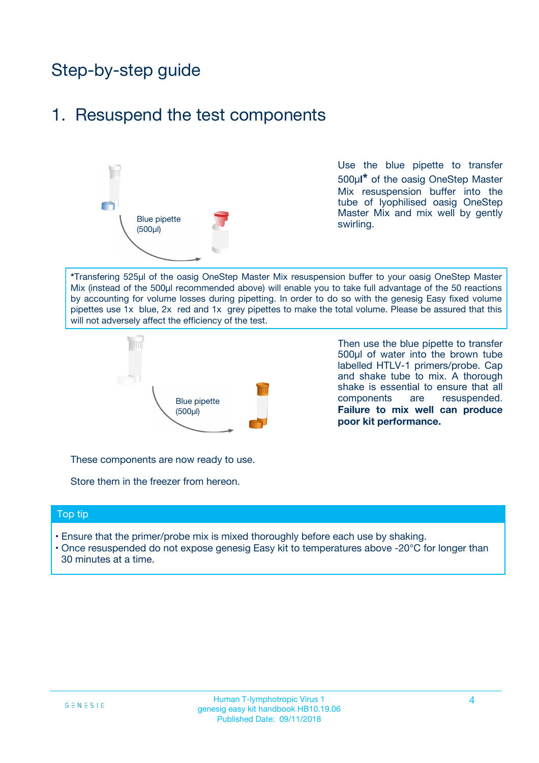## Step-by-step guide

### 1. Resuspend the test components



Use the blue pipette to transfer 500µ**l\*** of the oasig OneStep Master Mix resuspension buffer into the tube of lyophilised oasig OneStep Master Mix and mix well by gently swirling.

**\***Transfering 525µl of the oasig OneStep Master Mix resuspension buffer to your oasig OneStep Master Mix (instead of the 500µl recommended above) will enable you to take full advantage of the 50 reactions by accounting for volume losses during pipetting. In order to do so with the genesig Easy fixed volume pipettes use 1x blue, 2x red and 1x grey pipettes to make the total volume. Please be assured that this will not adversely affect the efficiency of the test.



Then use the blue pipette to transfer 500µl of water into the brown tube labelled HTLV-1 primers/probe. Cap and shake tube to mix. A thorough shake is essential to ensure that all components are resuspended. **Failure to mix well can produce poor kit performance.**

These components are now ready to use.

Store them in the freezer from hereon.

#### Top tip

- Ensure that the primer/probe mix is mixed thoroughly before each use by shaking.
- Once resuspended do not expose genesig Easy kit to temperatures above -20°C for longer than 30 minutes at a time.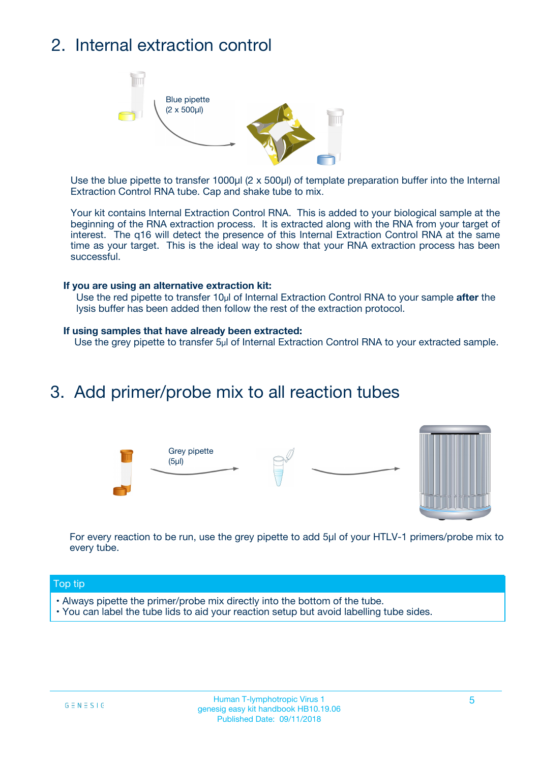## 2. Internal extraction control



Use the blue pipette to transfer 1000µl (2 x 500µl) of template preparation buffer into the Internal Extraction Control RNA tube. Cap and shake tube to mix.

Your kit contains Internal Extraction Control RNA. This is added to your biological sample at the beginning of the RNA extraction process. It is extracted along with the RNA from your target of interest. The q16 will detect the presence of this Internal Extraction Control RNA at the same time as your target. This is the ideal way to show that your RNA extraction process has been successful.

#### **If you are using an alternative extraction kit:**

Use the red pipette to transfer 10µl of Internal Extraction Control RNA to your sample **after** the lysis buffer has been added then follow the rest of the extraction protocol.

#### **If using samples that have already been extracted:**

Use the grey pipette to transfer 5µl of Internal Extraction Control RNA to your extracted sample.

### 3. Add primer/probe mix to all reaction tubes





For every reaction to be run, use the grey pipette to add 5µl of your HTLV-1 primers/probe mix to every tube.

#### Top tip

- Always pipette the primer/probe mix directly into the bottom of the tube.
- You can label the tube lids to aid your reaction setup but avoid labelling tube sides.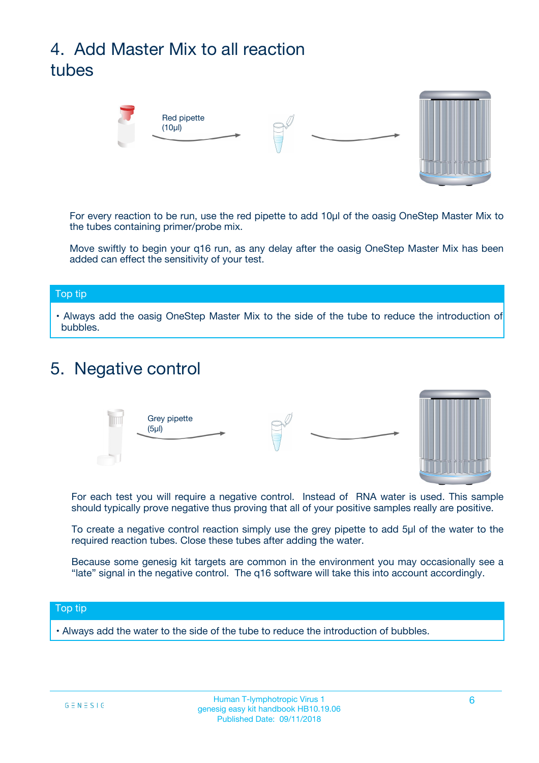## 4. Add Master Mix to all reaction tubes



For every reaction to be run, use the red pipette to add 10µl of the oasig OneStep Master Mix to the tubes containing primer/probe mix.

Move swiftly to begin your q16 run, as any delay after the oasig OneStep Master Mix has been added can effect the sensitivity of your test.

#### Top tip

**•** Always add the oasig OneStep Master Mix to the side of the tube to reduce the introduction of bubbles.

### 5. Negative control



For each test you will require a negative control. Instead of RNA water is used. This sample should typically prove negative thus proving that all of your positive samples really are positive.

To create a negative control reaction simply use the grey pipette to add 5µl of the water to the required reaction tubes. Close these tubes after adding the water.

Because some genesig kit targets are common in the environment you may occasionally see a "late" signal in the negative control. The q16 software will take this into account accordingly.

#### Top tip

**•** Always add the water to the side of the tube to reduce the introduction of bubbles.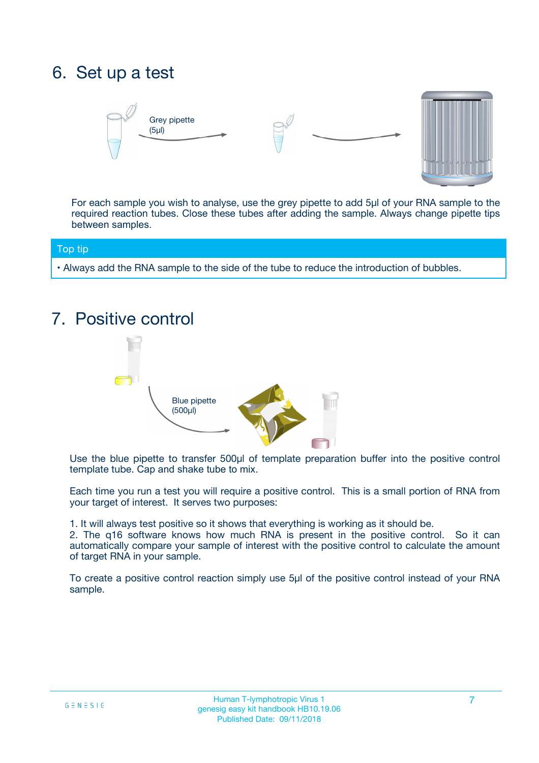## 6. Set up a test





For each sample you wish to analyse, use the grey pipette to add 5µl of your RNA sample to the required reaction tubes. Close these tubes after adding the sample. Always change pipette tips between samples.

#### Top tip

**•** Always add the RNA sample to the side of the tube to reduce the introduction of bubbles.

## 7. Positive control



Use the blue pipette to transfer 500µl of template preparation buffer into the positive control template tube. Cap and shake tube to mix.

Each time you run a test you will require a positive control. This is a small portion of RNA from your target of interest. It serves two purposes:

1. It will always test positive so it shows that everything is working as it should be.

2. The q16 software knows how much RNA is present in the positive control. So it can automatically compare your sample of interest with the positive control to calculate the amount of target RNA in your sample.

To create a positive control reaction simply use 5µl of the positive control instead of your RNA sample.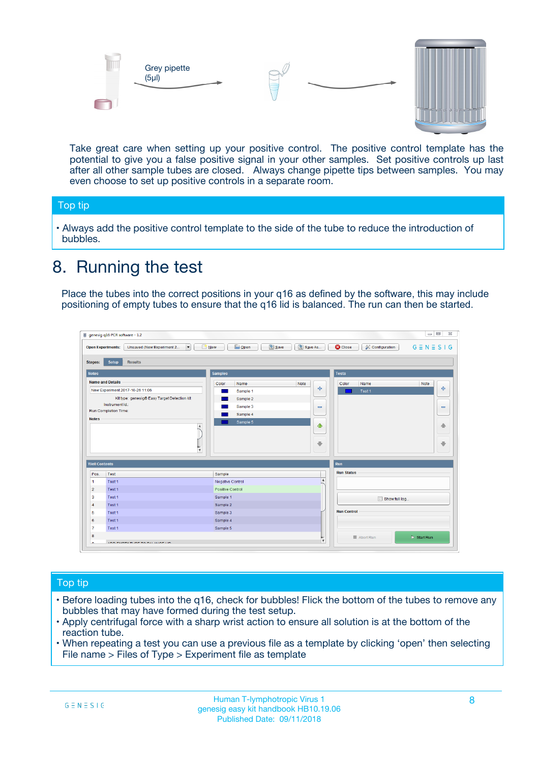



Take great care when setting up your positive control. The positive control template has the potential to give you a false positive signal in your other samples. Set positive controls up last after all other sample tubes are closed. Always change pipette tips between samples. You may even choose to set up positive controls in a separate room.

#### Top tip

**•** Always add the positive control template to the side of the tube to reduce the introduction of bubbles.

## 8. Running the test

Place the tubes into the correct positions in your q16 as defined by the software, this may include positioning of empty tubes to ensure that the q16 lid is balanced. The run can then be started.

|                      | genesig q16 PCR software - 1.2                                               |                                                | $= 0$<br>$\Sigma\!3$                                            |
|----------------------|------------------------------------------------------------------------------|------------------------------------------------|-----------------------------------------------------------------|
|                      | $\vert \cdot \vert$<br>Unsaved (New Experiment 2<br><b>Open Experiments:</b> | <b>E</b> Open<br>Save<br>Save As<br>$\Box$ New | <b>C</b> Close<br>$G \equiv N \equiv S \mid G$<br>Configuration |
| <b>Stages:</b>       | Setup<br><b>Results</b>                                                      |                                                |                                                                 |
| <b>Notes</b>         |                                                                              | <b>Samples</b>                                 | <b>Tests</b>                                                    |
|                      | <b>Name and Details</b>                                                      | Color<br>Note<br>Name                          | Name<br>Note<br>Color                                           |
|                      | New Experiment 2017-10-26 11:06                                              | على<br>Sample 1                                | $\ddot{\Phi}$<br>Test 1                                         |
|                      | Kit type: genesig® Easy Target Detection kit                                 | Sample 2                                       |                                                                 |
|                      | Instrument Id.:                                                              | Sample 3<br>$\equiv$                           | $\equiv$                                                        |
|                      | Run Completion Time:                                                         | Sample 4                                       |                                                                 |
| <b>Notes</b>         | $\blacktriangle$                                                             | Sample 5<br>♦                                  | 4                                                               |
|                      | $\overline{\mathbf{v}}$                                                      | ÷                                              | ⊕                                                               |
| <b>Well Contents</b> |                                                                              |                                                | Run                                                             |
| Pos.                 | Test                                                                         | Sample                                         | <b>Run Status</b>                                               |
| $\blacktriangleleft$ | Test 1                                                                       | $\blacktriangle$<br>Negative Control           |                                                                 |
| $\overline{2}$       | Test 1                                                                       | <b>Positive Control</b>                        |                                                                 |
| 3                    | Test 1                                                                       | Sample 1                                       | Show full log                                                   |
| $\overline{4}$       | Test 1                                                                       | Sample 2                                       |                                                                 |
| 5                    | Test 1                                                                       | Sample 3                                       | <b>Run Control</b>                                              |
| 6                    | Test 1                                                                       | Sample 4                                       |                                                                 |
| $\overline{7}$       | Test 1                                                                       | Sample 5                                       |                                                                 |
| 8                    |                                                                              |                                                | $\triangleright$ Start Run<br>Abort Run                         |
|                      | <b>INN FURTY TURE TO BUILDING UP.</b>                                        | $\pmb{\triangledown}$                          |                                                                 |

#### Top tip

- Before loading tubes into the q16, check for bubbles! Flick the bottom of the tubes to remove any bubbles that may have formed during the test setup.
- Apply centrifugal force with a sharp wrist action to ensure all solution is at the bottom of the reaction tube.
- When repeating a test you can use a previous file as a template by clicking 'open' then selecting File name > Files of Type > Experiment file as template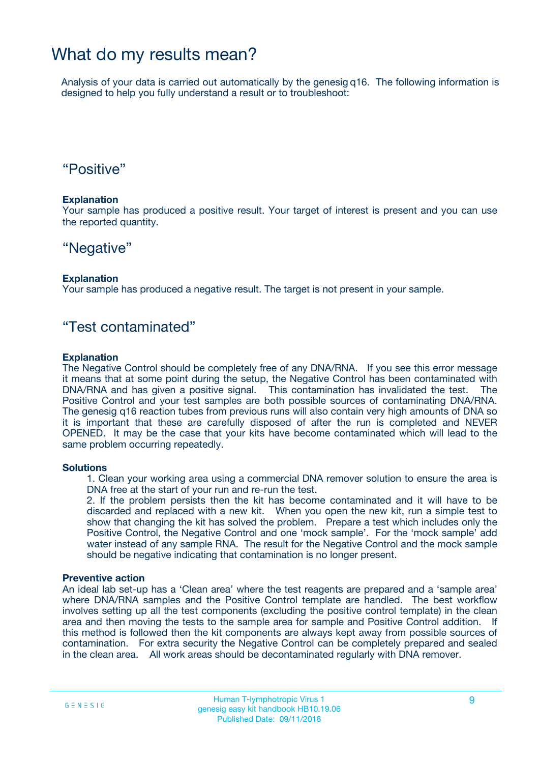### What do my results mean?

Analysis of your data is carried out automatically by the genesig q16. The following information is designed to help you fully understand a result or to troubleshoot:

### "Positive"

#### **Explanation**

Your sample has produced a positive result. Your target of interest is present and you can use the reported quantity.

### "Negative"

#### **Explanation**

Your sample has produced a negative result. The target is not present in your sample.

### "Test contaminated"

#### **Explanation**

The Negative Control should be completely free of any DNA/RNA. If you see this error message it means that at some point during the setup, the Negative Control has been contaminated with DNA/RNA and has given a positive signal. This contamination has invalidated the test. The Positive Control and your test samples are both possible sources of contaminating DNA/RNA. The genesig q16 reaction tubes from previous runs will also contain very high amounts of DNA so it is important that these are carefully disposed of after the run is completed and NEVER OPENED. It may be the case that your kits have become contaminated which will lead to the same problem occurring repeatedly.

#### **Solutions**

1. Clean your working area using a commercial DNA remover solution to ensure the area is DNA free at the start of your run and re-run the test.

2. If the problem persists then the kit has become contaminated and it will have to be discarded and replaced with a new kit. When you open the new kit, run a simple test to show that changing the kit has solved the problem. Prepare a test which includes only the Positive Control, the Negative Control and one 'mock sample'. For the 'mock sample' add water instead of any sample RNA. The result for the Negative Control and the mock sample should be negative indicating that contamination is no longer present.

#### **Preventive action**

An ideal lab set-up has a 'Clean area' where the test reagents are prepared and a 'sample area' where DNA/RNA samples and the Positive Control template are handled. The best workflow involves setting up all the test components (excluding the positive control template) in the clean area and then moving the tests to the sample area for sample and Positive Control addition. If this method is followed then the kit components are always kept away from possible sources of contamination. For extra security the Negative Control can be completely prepared and sealed in the clean area. All work areas should be decontaminated regularly with DNA remover.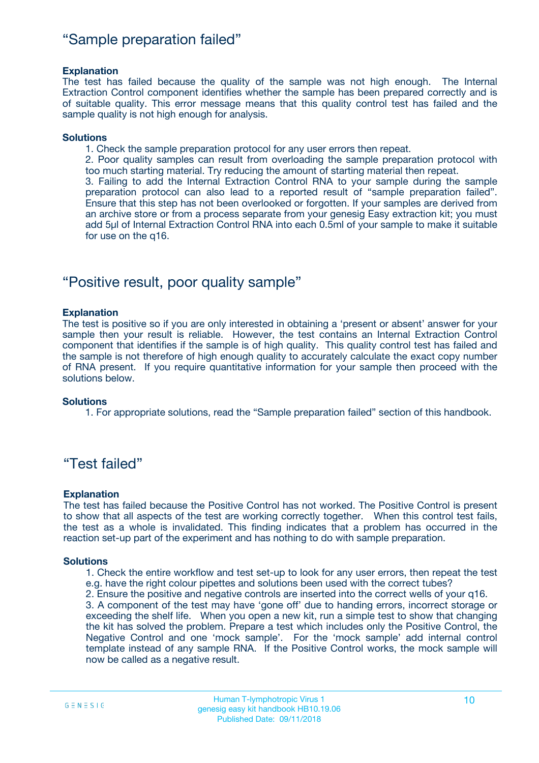### "Sample preparation failed"

#### **Explanation**

The test has failed because the quality of the sample was not high enough. The Internal Extraction Control component identifies whether the sample has been prepared correctly and is of suitable quality. This error message means that this quality control test has failed and the sample quality is not high enough for analysis.

#### **Solutions**

1. Check the sample preparation protocol for any user errors then repeat.

2. Poor quality samples can result from overloading the sample preparation protocol with too much starting material. Try reducing the amount of starting material then repeat.

3. Failing to add the Internal Extraction Control RNA to your sample during the sample preparation protocol can also lead to a reported result of "sample preparation failed". Ensure that this step has not been overlooked or forgotten. If your samples are derived from an archive store or from a process separate from your genesig Easy extraction kit; you must add 5µl of Internal Extraction Control RNA into each 0.5ml of your sample to make it suitable for use on the q16.

### "Positive result, poor quality sample"

#### **Explanation**

The test is positive so if you are only interested in obtaining a 'present or absent' answer for your sample then your result is reliable. However, the test contains an Internal Extraction Control component that identifies if the sample is of high quality. This quality control test has failed and the sample is not therefore of high enough quality to accurately calculate the exact copy number of RNA present. If you require quantitative information for your sample then proceed with the solutions below.

#### **Solutions**

1. For appropriate solutions, read the "Sample preparation failed" section of this handbook.

### "Test failed"

#### **Explanation**

The test has failed because the Positive Control has not worked. The Positive Control is present to show that all aspects of the test are working correctly together. When this control test fails, the test as a whole is invalidated. This finding indicates that a problem has occurred in the reaction set-up part of the experiment and has nothing to do with sample preparation.

#### **Solutions**

- 1. Check the entire workflow and test set-up to look for any user errors, then repeat the test e.g. have the right colour pipettes and solutions been used with the correct tubes?
- 2. Ensure the positive and negative controls are inserted into the correct wells of your q16.

3. A component of the test may have 'gone off' due to handing errors, incorrect storage or exceeding the shelf life. When you open a new kit, run a simple test to show that changing the kit has solved the problem. Prepare a test which includes only the Positive Control, the Negative Control and one 'mock sample'. For the 'mock sample' add internal control template instead of any sample RNA. If the Positive Control works, the mock sample will now be called as a negative result.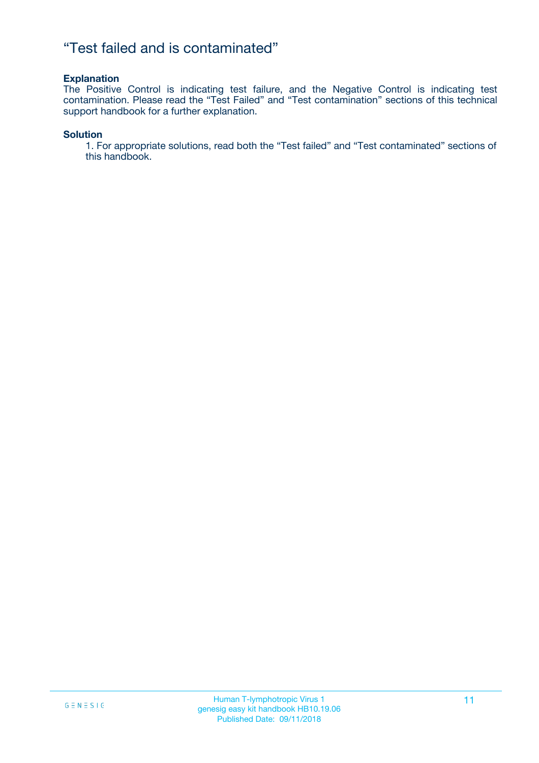### "Test failed and is contaminated"

#### **Explanation**

The Positive Control is indicating test failure, and the Negative Control is indicating test contamination. Please read the "Test Failed" and "Test contamination" sections of this technical support handbook for a further explanation.

#### **Solution**

1. For appropriate solutions, read both the "Test failed" and "Test contaminated" sections of this handbook.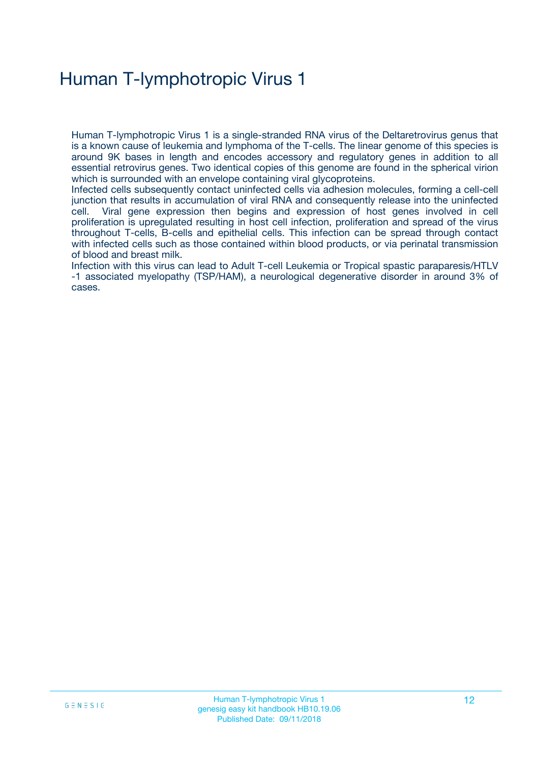## Human T-lymphotropic Virus 1

Human T-lymphotropic Virus 1 is a single-stranded RNA virus of the Deltaretrovirus genus that is a known cause of leukemia and lymphoma of the T-cells. The linear genome of this species is around 9K bases in length and encodes accessory and regulatory genes in addition to all essential retrovirus genes. Two identical copies of this genome are found in the spherical virion which is surrounded with an envelope containing viral glycoproteins.

Infected cells subsequently contact uninfected cells via adhesion molecules, forming a cell-cell junction that results in accumulation of viral RNA and consequently release into the uninfected cell. Viral gene expression then begins and expression of host genes involved in cell proliferation is upregulated resulting in host cell infection, proliferation and spread of the virus throughout T-cells, B-cells and epithelial cells. This infection can be spread through contact with infected cells such as those contained within blood products, or via perinatal transmission of blood and breast milk.

Infection with this virus can lead to Adult T-cell Leukemia or Tropical spastic paraparesis/HTLV -1 associated myelopathy (TSP/HAM), a neurological degenerative disorder in around 3% of cases.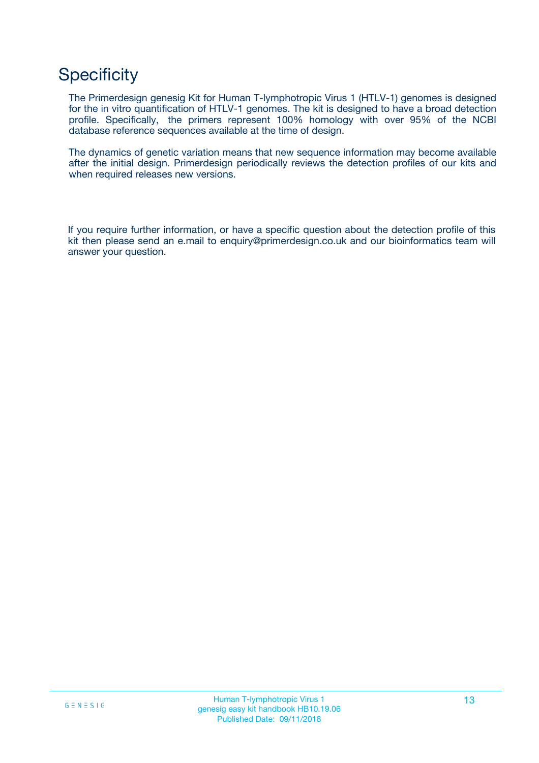## **Specificity**

The Primerdesign genesig Kit for Human T-lymphotropic Virus 1 (HTLV-1) genomes is designed for the in vitro quantification of HTLV-1 genomes. The kit is designed to have a broad detection profile. Specifically, the primers represent 100% homology with over 95% of the NCBI database reference sequences available at the time of design.

The dynamics of genetic variation means that new sequence information may become available after the initial design. Primerdesign periodically reviews the detection profiles of our kits and when required releases new versions.

If you require further information, or have a specific question about the detection profile of this kit then please send an e.mail to enquiry@primerdesign.co.uk and our bioinformatics team will answer your question.